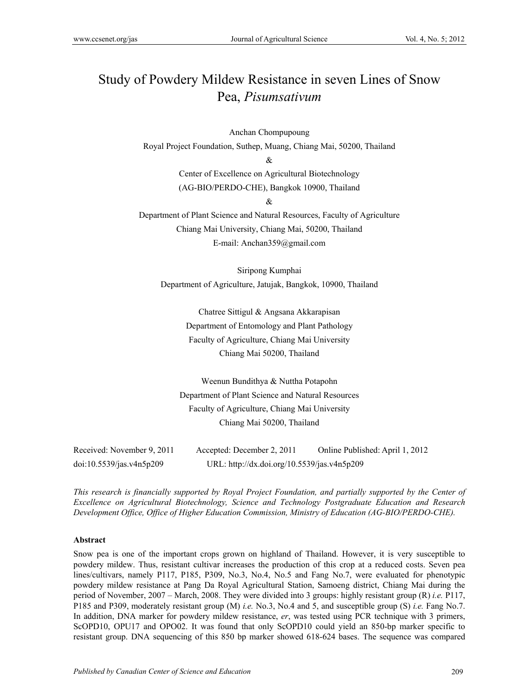# Study of Powdery Mildew Resistance in seven Lines of Snow Pea, *Pisumsativum*

Anchan Chompupoung Royal Project Foundation, Suthep, Muang, Chiang Mai, 50200, Thailand

 $\mathcal{R}$ 

Center of Excellence on Agricultural Biotechnology (AG-BIO/PERDO-CHE), Bangkok 10900, Thailand

&

Department of Plant Science and Natural Resources, Faculty of Agriculture Chiang Mai University, Chiang Mai, 50200, Thailand E-mail: Anchan359@gmail.com

Siripong Kumphai Department of Agriculture, Jatujak, Bangkok, 10900, Thailand

> Chatree Sittigul & Angsana Akkarapisan Department of Entomology and Plant Pathology Faculty of Agriculture, Chiang Mai University Chiang Mai 50200, Thailand

Weenun Bundithya & Nuttha Potapohn Department of Plant Science and Natural Resources Faculty of Agriculture, Chiang Mai University Chiang Mai 50200, Thailand

| Received: November 9, 2011 | Accepted: December 2, 2011                  | Online Published: April 1, 2012 |
|----------------------------|---------------------------------------------|---------------------------------|
| doi:10.5539/jas.v4n5p209   | URL: http://dx.doi.org/10.5539/jas.v4n5p209 |                                 |

*This research is financially supported by Royal Project Foundation, and partially supported by the Center of Excellence on Agricultural Biotechnology, Science and Technology Postgraduate Education and Research Development Office, Office of Higher Education Commission, Ministry of Education (AG-BIO/PERDO-CHE).* 

## **Abstract**

Snow pea is one of the important crops grown on highland of Thailand. However, it is very susceptible to powdery mildew. Thus, resistant cultivar increases the production of this crop at a reduced costs. Seven pea lines/cultivars, namely P117, P185, P309, No.3, No.4, No.5 and Fang No.7, were evaluated for phenotypic powdery mildew resistance at Pang Da Royal Agricultural Station, Samoeng district, Chiang Mai during the period of November, 2007 – March, 2008. They were divided into 3 groups: highly resistant group (R) *i.e.* P117, P185 and P309, moderately resistant group (M) *i.e.* No.3, No.4 and 5, and susceptible group (S) *i.e.* Fang No.7. In addition, DNA marker for powdery mildew resistance, *er*, was tested using PCR technique with 3 primers, ScOPD10, OPU17 and OPO02. It was found that only ScOPD10 could yield an 850-bp marker specific to resistant group. DNA sequencing of this 850 bp marker showed 618-624 bases. The sequence was compared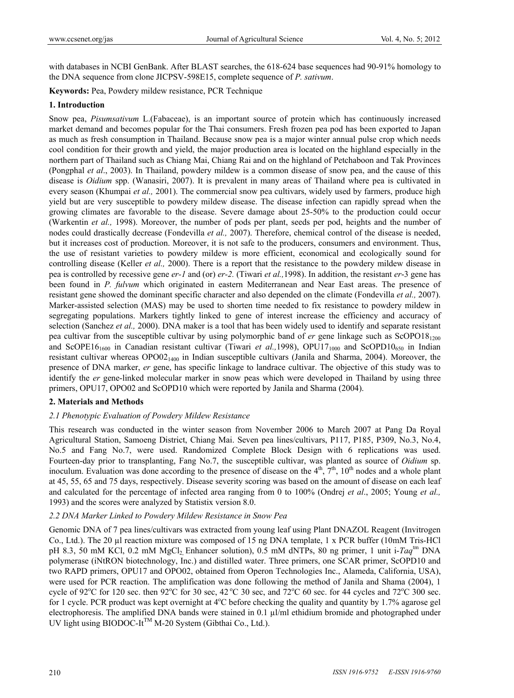with databases in NCBI GenBank. After BLAST searches, the 618-624 base sequences had 90-91% homology to the DNA sequence from clone JICPSV-598E15, complete sequence of *P. sativum*.

**Keywords:** Pea, Powdery mildew resistance, PCR Technique

#### **1. Introduction**

Snow pea, *Pisumsativum* L.(Fabaceae), is an important source of protein which has continuously increased market demand and becomes popular for the Thai consumers. Fresh frozen pea pod has been exported to Japan as much as fresh consumption in Thailand. Because snow pea is a major winter annual pulse crop which needs cool condition for their growth and yield, the major production area is located on the highland especially in the northern part of Thailand such as Chiang Mai, Chiang Rai and on the highland of Petchaboon and Tak Provinces (Pongphal *et al*., 2003). In Thailand, powdery mildew is a common disease of snow pea, and the cause of this disease is *Oidium* spp. (Wanasiri, 2007). It is prevalent in many areas of Thailand where pea is cultivated in every season (Khumpai *et al.,* 2001). The commercial snow pea cultivars, widely used by farmers, produce high yield but are very susceptible to powdery mildew disease. The disease infection can rapidly spread when the growing climates are favorable to the disease. Severe damage about 25-50% to the production could occur (Warkentin *et al.,* 1998). Moreover, the number of pods per plant, seeds per pod, heights and the number of nodes could drastically decrease (Fondevilla *et al.,* 2007). Therefore, chemical control of the disease is needed, but it increases cost of production. Moreover, it is not safe to the producers, consumers and environment. Thus, the use of resistant varieties to powdery mildew is more efficient, economical and ecologically sound for controlling disease (Keller *et al.,* 2000). There is a report that the resistance to the powdery mildew disease in pea is controlled by recessive gene *er-1* and (or) *er-2.* (Tiwari *et al.,*1998). In addition, the resistant *er*-3 gene has been found in *P. fulvum* which originated in eastern Mediterranean and Near East areas. The presence of resistant gene showed the dominant specific character and also depended on the climate (Fondevilla *et al.,* 2007). Marker-assisted selection (MAS) may be used to shorten time needed to fix resistance to powdery mildew in segregating populations. Markers tightly linked to gene of interest increase the efficiency and accuracy of selection (Sanchez *et al.,* 2000). DNA maker is a tool that has been widely used to identify and separate resistant pea cultivar from the susceptible cultivar by using polymorphic band of *er* gene linkage such as ScOPO18<sub>1200</sub> and ScOPE16<sub>1600</sub> in Canadian resistant cultivar (Tiwari *et al.*, 1998), OPU17<sub>1000</sub> and ScOPD10<sub>650</sub> in Indian resistant cultivar whereas  $OPOO2_{1400}$  in Indian susceptible cultivars (Janila and Sharma, 2004). Moreover, the presence of DNA marker, *er* gene, has specific linkage to landrace cultivar. The objective of this study was to identify the *er* gene-linked molecular marker in snow peas which were developed in Thailand by using three primers, OPU17, OPO02 and ScOPD10 which were reported by Janila and Sharma (2004).

## **2. Materials and Methods**

## *2.1 Phenotypic Evaluation of Powdery Mildew Resistance*

This research was conducted in the winter season from November 2006 to March 2007 at Pang Da Royal Agricultural Station, Samoeng District, Chiang Mai. Seven pea lines/cultivars, P117, P185, P309, No.3, No.4, No.5 and Fang No.7, were used. Randomized Complete Block Design with 6 replications was used. Fourteen-day prior to transplanting, Fang No.7, the susceptible cultivar, was planted as source of *Oidium* sp. inoculum. Evaluation was done according to the presence of disease on the  $4<sup>th</sup>$ ,  $7<sup>th</sup>$ ,  $10<sup>th</sup>$  nodes and a whole plant at 45, 55, 65 and 75 days, respectively. Disease severity scoring was based on the amount of disease on each leaf and calculated for the percentage of infected area ranging from 0 to 100% (Ondrej *et al*., 2005; Young *et al.,*  1993) and the scores were analyzed by Statistix version 8.0.

## *2.2 DNA Marker Linked to Powdery Mildew Resistance in Snow Pea*

Genomic DNA of 7 pea lines/cultivars was extracted from young leaf using Plant DNAZOL Reagent (Invitrogen Co., Ltd.). The 20 µl reaction mixture was composed of 15 ng DNA template, 1 x PCR buffer (10mM Tris-HCl pH 8.3, 50 mM KCl, 0.2 mM MgCl2, Enhancer solution), 0.5 mM dNTPs, 80 ng primer, 1 unit i-*Taq*tm DNA polymerase (iNtRON biotechnology, Inc.) and distilled water. Three primers, one SCAR primer, ScOPD10 and two RAPD primers, OPU17 and OPO02, obtained from Operon Technologies Inc., Alameda, California, USA), were used for PCR reaction. The amplification was done following the method of Janila and Shama (2004), 1 cycle of 92<sup>o</sup>C for 120 sec. then 92<sup>o</sup>C for 30 sec, 42<sup>o</sup>C 30 sec, and 72<sup>o</sup>C 60 sec. for 44 cycles and 72<sup>o</sup>C 300 sec. for 1 cycle. PCR product was kept overnight at 4°C before checking the quality and quantity by 1.7% agarose gel electrophoresis. The amplified DNA bands were stained in 0.1 µl/ml ethidium bromide and photographed under UV light using BIODOC-It™ M-20 System (Gibthai Co., Ltd.).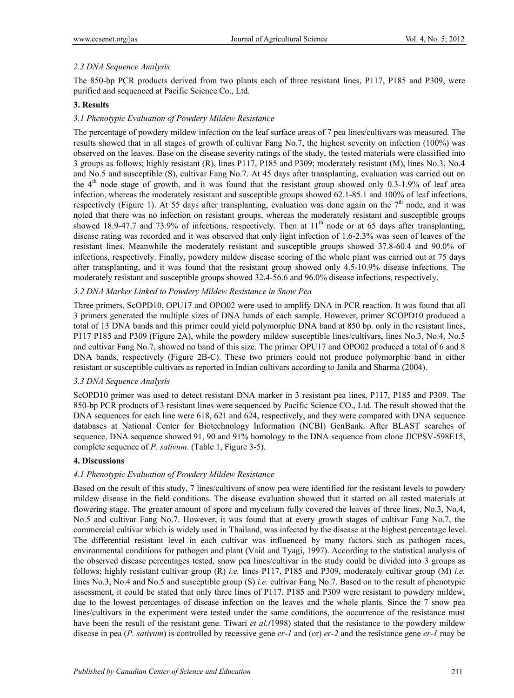## *2.3 DNA Sequence Analysis*

The 850-bp PCR products derived from two plants each of three resistant lines, P117, P185 and P309, were purified and sequenced at Pacific Science Co., Ltd.

## **3. Results**

## *3.1 Phenotypic Evaluation of Powdery Mildew Resistance*

The percentage of powdery mildew infection on the leaf surface areas of 7 pea lines/cultivars was measured. The results showed that in all stages of growth of cultivar Fang No.7, the highest severity on infection (100%) was observed on the leaves. Base on the disease severity ratings of the study, the tested materials were classified into 3 groups as follows; highly resistant (R), lines P117, P185 and P309; moderately resistant (M), lines No.3, No.4 and No.5 and susceptible (S), cultivar Fang No.7. At 45 days after transplanting, evaluation was carried out on the  $4<sup>th</sup>$  node stage of growth, and it was found that the resistant group showed only 0.3-1.9% of leaf area infection, whereas the moderately resistant and susceptible groups showed 62.1-85.1 and 100% of leaf infections, respectively (Figure 1). At 55 days after transplanting, evaluation was done again on the  $7<sup>th</sup>$  node, and it was noted that there was no infection on resistant groups, whereas the moderately resistant and susceptible groups showed 18.9-47.7 and 73.9% of infections, respectively. Then at  $11<sup>th</sup>$  node or at 65 days after transplanting, disease rating was recorded and it was observed that only light infection of 1.6-2.3% was seen of leaves of the resistant lines. Meanwhile the moderately resistant and susceptible groups showed 37.8-60.4 and 90.0% of infections, respectively. Finally, powdery mildew disease scoring of the whole plant was carried out at 75 days after transplanting, and it was found that the resistant group showed only 4.5-10.9% disease infections. The moderately resistant and susceptible groups showed 32.4-56.6 and 96.0% disease infections, respectively.

## *3.2 DNA Marker Linked to Powdery Mildew Resistance in Snow Pea*

Three primers, ScOPD10, OPU17 and OPO02 were used to amplify DNA in PCR reaction. It was found that all 3 primers generated the multiple sizes of DNA bands of each sample. However, primer SCOPD10 produced a total of 13 DNA bands and this primer could yield polymorphic DNA band at 850 bp. only in the resistant lines, P117 P185 and P309 (Figure 2A), while the powdery mildew susceptible lines/cultivars, lines No.3, No.4, No.5 and cultivar Fang No.7, showed no band of this size. The primer OPU17 and OPO02 produced a total of 6 and 8 DNA bands, respectively (Figure 2B-C). These two primers could not produce polymorphic band in either resistant or susceptible cultivars as reported in Indian cultivars according to Janila and Sharma (2004).

## *3.3 DNA Sequence Analysis*

ScOPD10 primer was used to detect resistant DNA marker in 3 resistant pea lines, P117, P185 and P309. The 850-bp PCR products of 3 resistant lines were sequenced by Pacific Science CO., Ltd. The result showed that the DNA sequences for each line were 618, 621 and 624, respectively, and they were compared with DNA sequence databases at National Center for Biotechnology Information (NCBI) GenBank. After BLAST searches of sequence, DNA sequence showed 91, 90 and 91% homology to the DNA sequence from clone JICPSV-598E15, complete sequence of *P. sativum*. (Table 1, Figure 3-5).

## **4. Discussions**

## *4.1 Phenotypic Evaluation of Powdery Mildew Resistance*

Based on the result of this study, 7 lines/cultivars of snow pea were identified for the resistant levels to powdery mildew disease in the field conditions. The disease evaluation showed that it started on all tested materials at flowering stage. The greater amount of spore and mycelium fully covered the leaves of three lines, No.3, No.4, No.5 and cultivar Fang No.7. However, it was found that at every growth stages of cultivar Fang No.7, the commercial cultivar which is widely used in Thailand, was infected by the disease at the highest percentage level. The differential resistant level in each cultivar was influenced by many factors such as pathogen races, environmental conditions for pathogen and plant (Vaid and Tyagi, 1997). According to the statistical analysis of the observed disease percentages tested, snow pea lines/cultivar in the study could be divided into 3 groups as follows; highly resistant cultivar group (R) *i.e.* lines P117, P185 and P309, moderately cultivar group (M) *i.e.* lines No.3, No.4 and No.5 and susceptible group (S) *i.e.* cultivar Fang No.7. Based on to the result of phenotypic assessment, it could be stated that only three lines of P117, P185 and P309 were resistant to powdery mildew, due to the lowest percentages of disease infection on the leaves and the whole plants. Since the 7 snow pea lines/cultivars in the experiment were tested under the same conditions, the occurrence of the resistance must have been the result of the resistant gene. Tiwari *et al.(*1998) stated that the resistance to the powdery mildew disease in pea (*P. sativum*) is controlled by recessive gene *er-1* and (or) *er-2* and the resistance gene *er-1* may be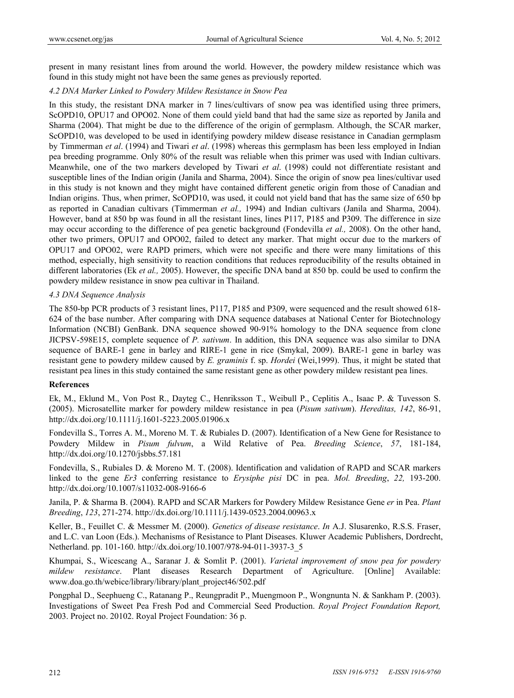present in many resistant lines from around the world. However, the powdery mildew resistance which was found in this study might not have been the same genes as previously reported.

#### *4.2 DNA Marker Linked to Powdery Mildew Resistance in Snow Pea*

In this study, the resistant DNA marker in 7 lines/cultivars of snow pea was identified using three primers, ScOPD10, OPU17 and OPO02. None of them could yield band that had the same size as reported by Janila and Sharma (2004). That might be due to the difference of the origin of germplasm. Although, the SCAR marker, ScOPD10, was developed to be used in identifying powdery mildew disease resistance in Canadian germplasm by Timmerman *et al*. (1994) and Tiwari *et al*. (1998) whereas this germplasm has been less employed in Indian pea breeding programme. Only 80% of the result was reliable when this primer was used with Indian cultivars. Meanwhile, one of the two markers developed by Tiwari *et al*. (1998) could not differentiate resistant and susceptible lines of the Indian origin (Janila and Sharma, 2004). Since the origin of snow pea lines/cultivar used in this study is not known and they might have contained different genetic origin from those of Canadian and Indian origins. Thus, when primer, ScOPD10, was used, it could not yield band that has the same size of 650 bp as reported in Canadian cultivars (Timmerman *et al.,* 1994) and Indian cultivars (Janila and Sharma, 2004). However, band at 850 bp was found in all the resistant lines, lines P117, P185 and P309. The difference in size may occur according to the difference of pea genetic background (Fondevilla *et al.,* 2008). On the other hand, other two primers, OPU17 and OPO02, failed to detect any marker. That might occur due to the markers of OPU17 and OPO02, were RAPD primers, which were not specific and there were many limitations of this method, especially, high sensitivity to reaction conditions that reduces reproducibility of the results obtained in different laboratories (Ek *et al.,* 2005). However, the specific DNA band at 850 bp. could be used to confirm the powdery mildew resistance in snow pea cultivar in Thailand.

## *4.3 DNA Sequence Analysis*

The 850-bp PCR products of 3 resistant lines, P117, P185 and P309, were sequenced and the result showed 618- 624 of the base number. After comparing with DNA sequence databases at National Center for Biotechnology Information (NCBI) GenBank. DNA sequence showed 90-91% homology to the DNA sequence from clone JICPSV-598E15, complete sequence of *P. sativum*. In addition, this DNA sequence was also similar to DNA sequence of BARE-1 gene in barley and RIRE-1 gene in rice (Smykal, 2009). BARE-1 gene in barley was resistant gene to powdery mildew caused by *E. graminis* f. sp. *Hordei* (Wei,1999). Thus, it might be stated that resistant pea lines in this study contained the same resistant gene as other powdery mildew resistant pea lines.

#### **References**

Ek, M., Eklund M., Von Post R., Dayteg C., Henriksson T., Weibull P., Ceplitis A., Isaac P. & Tuvesson S. (2005). Microsatellite marker for powdery mildew resistance in pea (*Pisum sativum*). *Hereditas, 142*, 86-91, http://dx.doi.org/10.1111/j.1601-5223.2005.01906.x

Fondevilla S., Torres A. M., Moreno M. T. & Rubiales D. (2007). Identification of a New Gene for Resistance to Powdery Mildew in *Pisum fulvum*, a Wild Relative of Pea. *Breeding Science*, *57*, 181-184, http://dx.doi.org/10.1270/jsbbs.57.181

Fondevilla, S., Rubiales D. & Moreno M. T. (2008). Identification and validation of RAPD and SCAR markers linked to the gene *Er3* conferring resistance to *Erysiphe pisi* DC in pea. *Mol. Breeding*, *22,* 193-200. http://dx.doi.org/10.1007/s11032-008-9166-6

Janila, P. & Sharma B. (2004). RAPD and SCAR Markers for Powdery Mildew Resistance Gene *er* in Pea. *Plant Breeding*, *123*, 271-274. http://dx.doi.org/10.1111/j.1439-0523.2004.00963.x

Keller, B., Feuillet C. & Messmer M. (2000). *Genetics of disease resistance*. *In* A.J. Slusarenko, R.S.S. Fraser, and L.C. van Loon (Eds.). Mechanisms of Resistance to Plant Diseases. Kluwer Academic Publishers, Dordrecht, Netherland. pp. 101-160. http://dx.doi.org/10.1007/978-94-011-3937-3\_5

Khumpai, S., Wicescang A., Saranar J. & Somlit P. (2001). *Varietal improvement of snow pea for powdery mildew resistance*. Plant diseases Research Department of Agriculture. [Online] Available: www.doa.go.th/webice/library/library/plant\_project46/502.pdf

Pongphal D., Seephueng C., Ratanang P., Reungpradit P., Muengmoon P., Wongnunta N. & Sankham P. (2003). Investigations of Sweet Pea Fresh Pod and Commercial Seed Production. *Royal Project Foundation Report,*  2003. Project no. 20102. Royal Project Foundation: 36 p.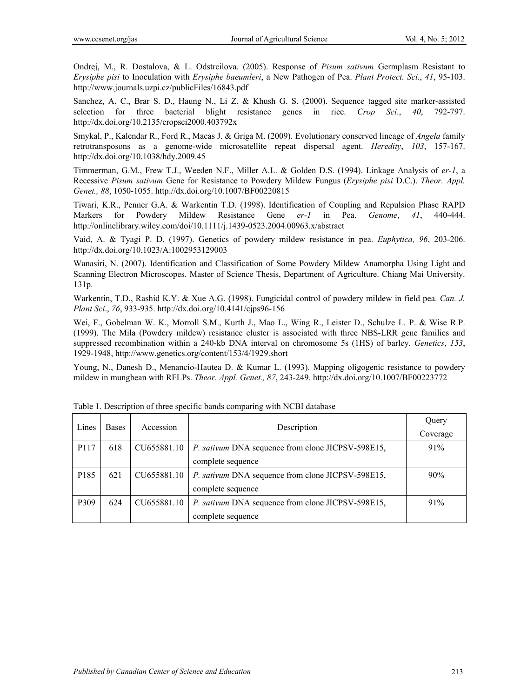Ondrej, M., R. Dostalova, & L. Odstrcilova. (2005). Response of *Pisum sativum* Germplasm Resistant to *Erysiphe pisi* to Inoculation with *Erysiphe baeumleri*, a New Pathogen of Pea. *Plant Protect. Sci*., *41*, 95-103. http://www.journals.uzpi.cz/publicFiles/16843.pdf

Sanchez, A. C., Brar S. D., Haung N., Li Z. & Khush G. S. (2000). Sequence tagged site marker-assisted selection for three bacterial blight resistance genes in rice. *Crop Sci*., *40*, 792-797. http://dx.doi.org/10.2135/cropsci2000.403792x

Smykal, P., Kalendar R., Ford R., Macas J. & Griga M. (2009). Evolutionary conserved lineage of *Angela* family retrotransposons as a genome-wide microsatellite repeat dispersal agent. *Heredity*, *103*, 157-167. http://dx.doi.org/10.1038/hdy.2009.45

Timmerman, G.M., Frew T.J., Weeden N.F., Miller A.L. & Golden D.S. (1994). Linkage Analysis of *er-1*, a Recessive *Pisum sativum* Gene for Resistance to Powdery Mildew Fungus (*Erysiphe pisi* D.C.). *Theor. Appl. Genet., 88*, 1050-1055. http://dx.doi.org/10.1007/BF00220815

Tiwari, K.R., Penner G.A. & Warkentin T.D. (1998). Identification of Coupling and Repulsion Phase RAPD Markers for Powdery Mildew Resistance Gene *er-1* in Pea. *Genome*, *41*, 440-444. http://onlinelibrary.wiley.com/doi/10.1111/j.1439-0523.2004.00963.x/abstract

Vaid, A. & Tyagi P. D. (1997). Genetics of powdery mildew resistance in pea. *Euphytica, 96*, 203-206. http://dx.doi.org/10.1023/A:1002953129003

Wanasiri, N. (2007). Identification and Classification of Some Powdery Mildew Anamorpha Using Light and Scanning Electron Microscopes. Master of Science Thesis, Department of Agriculture. Chiang Mai University. 131p.

Warkentin, T.D., Rashid K.Y. & Xue A.G. (1998). Fungicidal control of powdery mildew in field pea. *Can. J. Plant Sci*., *76*, 933-935. http://dx.doi.org/10.4141/cjps96-156

Wei, F., Gobelman W. K., Morroll S.M., Kurth J., Mao L., Wing R., Leister D., Schulze L. P. & Wise R.P. (1999). The Mila (Powdery mildew) resistance cluster is associated with three NBS-LRR gene families and suppressed recombination within a 240-kb DNA interval on chromosome 5s (1HS) of barley. *Genetics*, *153*, 1929-1948, http://www.genetics.org/content/153/4/1929.short

Young, N., Danesh D., Menancio-Hautea D. & Kumar L. (1993). Mapping oligogenic resistance to powdery mildew in mungbean with RFLPs. *Theor. Appl. Genet., 87*, 243-249. http://dx.doi.org/10.1007/BF00223772

| Lines            | Description<br><b>Bases</b><br>Accession | Query       |                                                          |          |
|------------------|------------------------------------------|-------------|----------------------------------------------------------|----------|
|                  |                                          |             |                                                          | Coverage |
| P <sub>117</sub> | 618                                      | CU655881.10 | <i>P. sativum DNA sequence from clone JICPSV-598E15,</i> | 91%      |
|                  |                                          |             | complete sequence                                        |          |
| P <sub>185</sub> | 621                                      | CU655881.10 | <i>P. sativum DNA sequence from clone JICPSV-598E15,</i> | 90%      |
|                  |                                          |             | complete sequence                                        |          |
| P309             | 624                                      | CU655881.10 | P. sativum DNA sequence from clone JICPSV-598E15,        | $91\%$   |
|                  |                                          |             | complete sequence                                        |          |

Table 1. Description of three specific bands comparing with NCBI database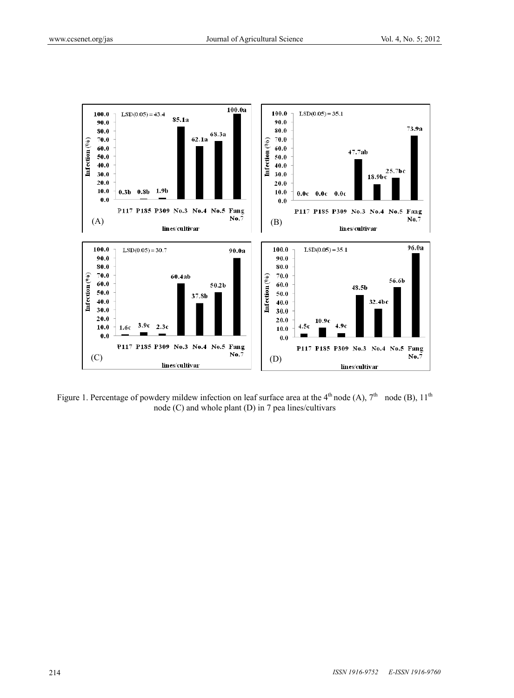

Figure 1. Percentage of powdery mildew infection on leaf surface area at the  $4<sup>th</sup>$  node (A),  $7<sup>th</sup>$  node (B),  $11<sup>th</sup>$ node (C) and whole plant (D) in 7 pea lines/cultivars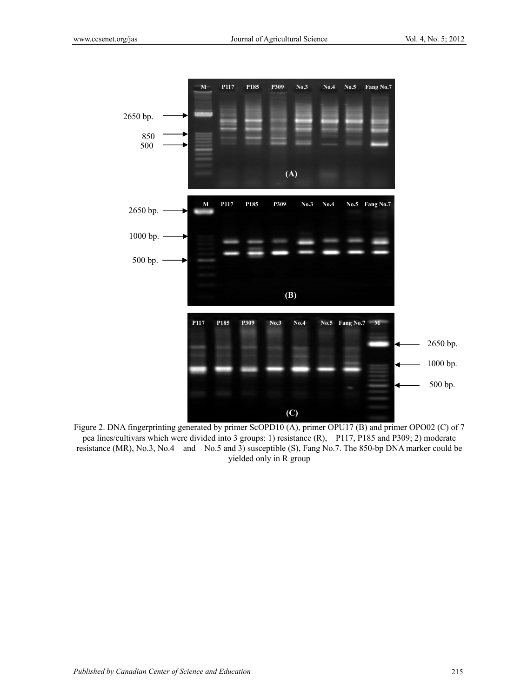

Figure 2. DNA fingerprinting generated by primer ScOPD10 (A), primer OPU17 (B) and primer OPO02 (C) of 7 pea lines/cultivars which were divided into 3 groups: 1) resistance (R), P117, P185 and P309; 2) moderate resistance (MR), No.3, No.4 and No.5 and 3) susceptible (S), Fang No.7. The 850-bp DNA marker could be yielded only in R group